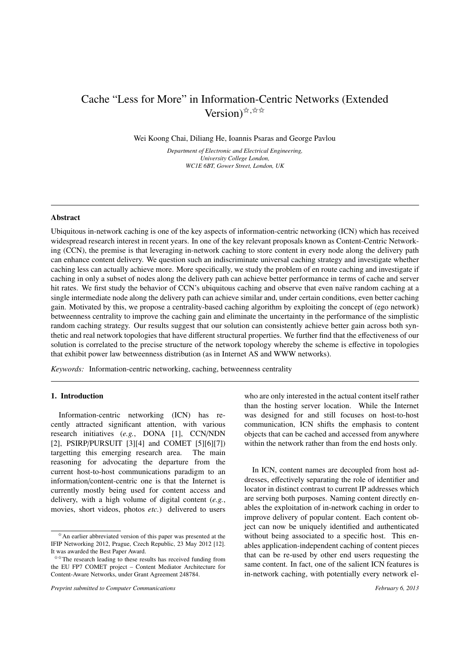# Cache "Less for More" in Information-Centric Networks (Extended Version)<sup>☆,☆☆</sup>

Wei Koong Chai, Diliang He, Ioannis Psaras and George Pavlou

*Department of Electronic and Electrical Engineering, University College London, WC1E 6BT, Gower Street, London, UK*

# Abstract

Ubiquitous in-network caching is one of the key aspects of information-centric networking (ICN) which has received widespread research interest in recent years. In one of the key relevant proposals known as Content-Centric Networking (CCN), the premise is that leveraging in-network caching to store content in every node along the delivery path can enhance content delivery. We question such an indiscriminate universal caching strategy and investigate whether caching less can actually achieve more. More specifically, we study the problem of en route caching and investigate if caching in only a subset of nodes along the delivery path can achieve better performance in terms of cache and server hit rates. We first study the behavior of CCN's ubiquitous caching and observe that even naïve random caching at a single intermediate node along the delivery path can achieve similar and, under certain conditions, even better caching gain. Motivated by this, we propose a centrality-based caching algorithm by exploiting the concept of (ego network) betweenness centrality to improve the caching gain and eliminate the uncertainty in the performance of the simplistic random caching strategy. Our results suggest that our solution can consistently achieve better gain across both synthetic and real network topologies that have different structural properties. We further find that the effectiveness of our solution is correlated to the precise structure of the network topology whereby the scheme is effective in topologies that exhibit power law betweenness distribution (as in Internet AS and WWW networks).

*Keywords:* Information-centric networking, caching, betweenness centrality

# 1. Introduction

Information-centric networking (ICN) has recently attracted significant attention, with various research initiatives (*e.g.*, DONA [1], CCN/NDN [2], PSIRP/PURSUIT [3][4] and COMET [5][6][7]) targetting this emerging research area. The main reasoning for advocating the departure from the current host-to-host communications paradigm to an information/content-centric one is that the Internet is currently mostly being used for content access and delivery, with a high volume of digital content (*e.g.*, movies, short videos, photos *etc.*) delivered to users

*Preprint submitted to Computer Communications February 6, 2013*

who are only interested in the actual content itself rather than the hosting server location. While the Internet was designed for and still focuses on host-to-host communication, ICN shifts the emphasis to content objects that can be cached and accessed from anywhere within the network rather than from the end hosts only.

In ICN, content names are decoupled from host addresses, effectively separating the role of identifier and locator in distinct contrast to current IP addresses which are serving both purposes. Naming content directly enables the exploitation of in-network caching in order to improve delivery of popular content. Each content object can now be uniquely identified and authenticated without being associated to a specific host. This enables application-independent caching of content pieces that can be re-used by other end users requesting the same content. In fact, one of the salient ICN features is in-network caching, with potentially every network el-

 $\overrightarrow{r}$  An earlier abbreviated version of this paper was presented at the IFIP Networking 2012, Prague, Czech Republic, 23 May 2012 [12]. It was awarded the Best Paper Award.

<sup>✩✩</sup>The research leading to these results has received funding from the EU FP7 COMET project – Content Mediator Architecture for Content-Aware Networks, under Grant Agreement 248784.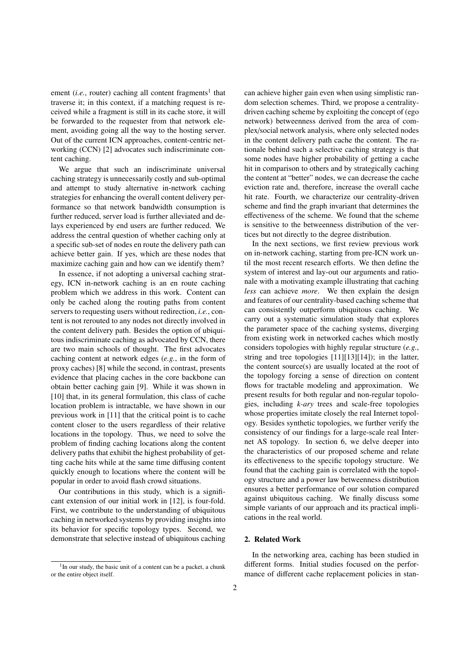ement  $(i.e.,$  router) caching all content fragments<sup>1</sup> that traverse it; in this context, if a matching request is received while a fragment is still in its cache store, it will be forwarded to the requester from that network element, avoiding going all the way to the hosting server. Out of the current ICN approaches, content-centric networking (CCN) [2] advocates such indiscriminate content caching.

We argue that such an indiscriminate universal caching strategy is unnecessarily costly and sub-optimal and attempt to study alternative in-network caching strategies for enhancing the overall content delivery performance so that network bandwidth consumption is further reduced, server load is further alleviated and delays experienced by end users are further reduced. We address the central question of whether caching only at a specific sub-set of nodes en route the delivery path can achieve better gain. If yes, which are these nodes that maximize caching gain and how can we identify them?

In essence, if not adopting a universal caching strategy, ICN in-network caching is an en route caching problem which we address in this work. Content can only be cached along the routing paths from content servers to requesting users without redirection, *i.e.*, content is not rerouted to any nodes not directly involved in the content delivery path. Besides the option of ubiquitous indiscriminate caching as advocated by CCN, there are two main schools of thought. The first advocates caching content at network edges (*e.g.*, in the form of proxy caches) [8] while the second, in contrast, presents evidence that placing caches in the core backbone can obtain better caching gain [9]. While it was shown in [10] that, in its general formulation, this class of cache location problem is intractable, we have shown in our previous work in [11] that the critical point is to cache content closer to the users regardless of their relative locations in the topology. Thus, we need to solve the problem of finding caching locations along the content delivery paths that exhibit the highest probability of getting cache hits while at the same time diffusing content quickly enough to locations where the content will be popular in order to avoid flash crowd situations.

Our contributions in this study, which is a significant extension of our initial work in [12], is four-fold. First, we contribute to the understanding of ubiquitous caching in networked systems by providing insights into its behavior for specific topology types. Second, we demonstrate that selective instead of ubiquitous caching can achieve higher gain even when using simplistic random selection schemes. Third, we propose a centralitydriven caching scheme by exploiting the concept of (ego network) betweenness derived from the area of complex/social network analysis, where only selected nodes in the content delivery path cache the content. The rationale behind such a selective caching strategy is that some nodes have higher probability of getting a cache hit in comparison to others and by strategically caching the content at "better" nodes, we can decrease the cache eviction rate and, therefore, increase the overall cache hit rate. Fourth, we characterize our centrality-driven scheme and find the graph invariant that determines the effectiveness of the scheme. We found that the scheme is sensitive to the betweenness distribution of the vertices but not directly to the degree distribution.

In the next sections, we first review previous work on in-network caching, starting from pre-ICN work until the most recent research efforts. We then define the system of interest and lay-out our arguments and rationale with a motivating example illustrating that caching *less* can achieve *more*. We then explain the design and features of our centrality-based caching scheme that can consistently outperform ubiquitous caching. We carry out a systematic simulation study that explores the parameter space of the caching systems, diverging from existing work in networked caches which mostly considers topologies with highly regular structure (*e.g.*, string and tree topologies [11][13][14]); in the latter, the content source(s) are usually located at the root of the topology forcing a sense of direction on content flows for tractable modeling and approximation. We present results for both regular and non-regular topologies, including *k-ary* trees and scale-free topologies whose properties imitate closely the real Internet topology. Besides synthetic topologies, we further verify the consistency of our findings for a large-scale real Internet AS topology. In section 6, we delve deeper into the characteristics of our proposed scheme and relate its effectiveness to the specific topology structure. We found that the caching gain is correlated with the topology structure and a power law betweenness distribution ensures a better performance of our solution compared against ubiquitous caching. We finally discuss some simple variants of our approach and its practical implications in the real world.

### 2. Related Work

In the networking area, caching has been studied in different forms. Initial studies focused on the performance of different cache replacement policies in stan-

<sup>&</sup>lt;sup>1</sup>In our study, the basic unit of a content can be a packet, a chunk or the entire object itself.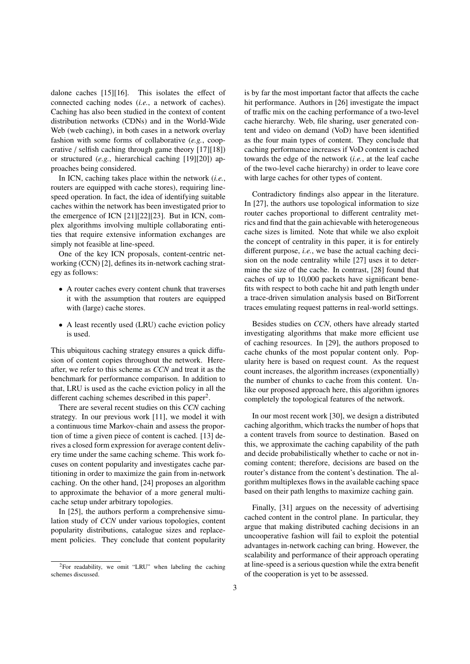dalone caches [15][16]. This isolates the effect of connected caching nodes (*i.e.*, a network of caches). Caching has also been studied in the context of content distribution networks (CDNs) and in the World-Wide Web (web caching), in both cases in a network overlay fashion with some forms of collaborative (*e.g.*, cooperative / selfish caching through game theory [17][18]) or structured (*e.g.*, hierarchical caching [19][20]) approaches being considered.

In ICN, caching takes place within the network (*i.e.*, routers are equipped with cache stores), requiring linespeed operation. In fact, the idea of identifying suitable caches within the network has been investigated prior to the emergence of ICN [21][22][23]. But in ICN, complex algorithms involving multiple collaborating entities that require extensive information exchanges are simply not feasible at line-speed.

One of the key ICN proposals, content-centric networking (CCN) [2], defines its in-network caching strategy as follows:

- A router caches every content chunk that traverses it with the assumption that routers are equipped with (large) cache stores.
- A least recently used (LRU) cache eviction policy is used.

This ubiquitous caching strategy ensures a quick diffusion of content copies throughout the network. Hereafter, we refer to this scheme as *CCN* and treat it as the benchmark for performance comparison. In addition to that, LRU is used as the cache eviction policy in all the different caching schemes described in this paper<sup>2</sup>.

There are several recent studies on this *CCN* caching strategy. In our previous work [11], we model it with a continuous time Markov-chain and assess the proportion of time a given piece of content is cached. [13] derives a closed form expression for average content delivery time under the same caching scheme. This work focuses on content popularity and investigates cache partitioning in order to maximize the gain from in-network caching. On the other hand, [24] proposes an algorithm to approximate the behavior of a more general multicache setup under arbitrary topologies.

In [25], the authors perform a comprehensive simulation study of *CCN* under various topologies, content popularity distributions, catalogue sizes and replacement policies. They conclude that content popularity

is by far the most important factor that affects the cache hit performance. Authors in [26] investigate the impact of traffic mix on the caching performance of a two-level cache hierarchy. Web, file sharing, user generated content and video on demand (VoD) have been identified as the four main types of content. They conclude that caching performance increases if VoD content is cached towards the edge of the network (*i.e.*, at the leaf cache of the two-level cache hierarchy) in order to leave core with large caches for other types of content.

Contradictory findings also appear in the literature. In [27], the authors use topological information to size router caches proportional to different centrality metrics and find that the gain achievable with heterogeneous cache sizes is limited. Note that while we also exploit the concept of centrality in this paper, it is for entirely different purpose, *i.e.*, we base the actual caching decision on the node centrality while [27] uses it to determine the size of the cache. In contrast, [28] found that caches of up to 10,000 packets have significant benefits with respect to both cache hit and path length under a trace-driven simulation analysis based on BitTorrent traces emulating request patterns in real-world settings.

Besides studies on *CCN*, others have already started investigating algorithms that make more efficient use of caching resources. In [29], the authors proposed to cache chunks of the most popular content only. Popularity here is based on request count. As the request count increases, the algorithm increases (exponentially) the number of chunks to cache from this content. Unlike our proposed approach here, this algorithm ignores completely the topological features of the network.

In our most recent work [30], we design a distributed caching algorithm, which tracks the number of hops that a content travels from source to destination. Based on this, we approximate the caching capability of the path and decide probabilistically whether to cache or not incoming content; therefore, decisions are based on the router's distance from the content's destination. The algorithm multiplexes flows in the available caching space based on their path lengths to maximize caching gain.

Finally, [31] argues on the necessity of advertising cached content in the control plane. In particular, they argue that making distributed caching decisions in an uncooperative fashion will fail to exploit the potential advantages in-network caching can bring. However, the scalability and performance of their approach operating at line-speed is a serious question while the extra benefit of the cooperation is yet to be assessed.

<sup>2</sup>For readability, we omit "LRU" when labeling the caching schemes discussed.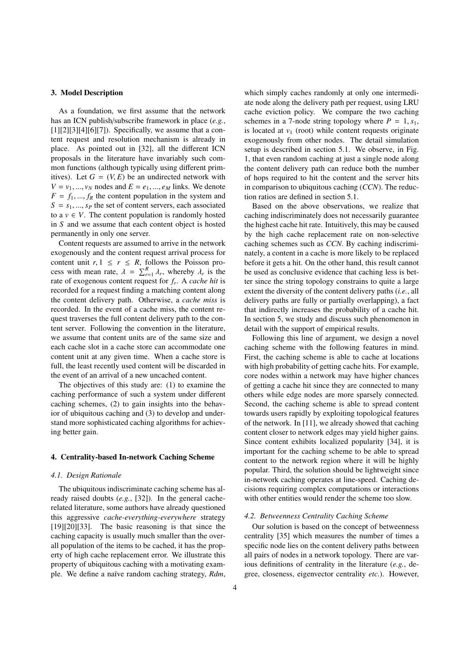# 3. Model Description

As a foundation, we first assume that the network has an ICN publish/subscribe framework in place (*e.g.*,  $[1][2][3][4][6][7]$ ). Specifically, we assume that a content request and resolution mechanism is already in place. As pointed out in [32], all the different ICN proposals in the literature have invariably such common functions (although typically using different primitives). Let  $G = (V, E)$  be an undirected network with  $V = v_1, ..., v_N$  nodes and  $E = e_1, ..., e_M$  links. We denote  $F = f_1, ..., f_R$  the content population in the system and  $S = s_1, \ldots, s_P$  the set of content servers, each associated to a  $v \in V$ . The content population is randomly hosted in *S* and we assume that each content object is hosted permanently in only one server.

Content requests are assumed to arrive in the network exogenously and the content request arrival process for content unit  $r, 1 \leq r \leq R$ , follows the Poisson process with mean rate,  $\lambda = \sum_{r=1}^{R} \lambda_r$ , whereby  $\lambda_r$  is the rate of expressions content request for f. A cache hit is cess with mean rate,  $\lambda = \sum_{r=1}^{\infty} \lambda_r$ , whereby  $\lambda_r$  is the rate of exogenous content request for  $f_r$ . A *cache hit* is recorded for a request finding a matching content along the content delivery path. Otherwise, a *cache miss* is recorded. In the event of a cache miss, the content request traverses the full content delivery path to the content server. Following the convention in the literature, we assume that content units are of the same size and each cache slot in a cache store can accommodate one content unit at any given time. When a cache store is full, the least recently used content will be discarded in the event of an arrival of a new uncached content.

The objectives of this study are: (1) to examine the caching performance of such a system under different caching schemes, (2) to gain insights into the behavior of ubiquitous caching and (3) to develop and understand more sophisticated caching algorithms for achieving better gain.

### 4. Centrality-based In-network Caching Scheme

#### *4.1. Design Rationale*

The ubiquitous indiscriminate caching scheme has already raised doubts (*e.g.*, [32]). In the general cacherelated literature, some authors have already questioned this aggressive *cache-everything-everywhere* strategy [19][20][33]. The basic reasoning is that since the caching capacity is usually much smaller than the overall population of the items to be cached, it has the property of high cache replacement error. We illustrate this property of ubiquitous caching with a motivating example. We define a naïve random caching strategy, *Rdm*, which simply caches randomly at only one intermediate node along the delivery path per request, using LRU cache eviction policy. We compare the two caching schemes in a 7-node string topology where  $P = 1$ ,  $s_1$ , is located at  $v_1$  (root) while content requests originate exogenously from other nodes. The detail simulation setup is described in section 5.1. We observe, in Fig. 1, that even random caching at just a single node along the content delivery path can reduce both the number of hops required to hit the content and the server hits in comparison to ubiquitous caching (*CCN*). The reduction ratios are defined in section 5.1.

Based on the above observations, we realize that caching indiscriminately does not necessarily guarantee the highest cache hit rate. Intuitively, this may be caused by the high cache replacement rate on non-selective caching schemes such as *CCN*. By caching indiscriminately, a content in a cache is more likely to be replaced before it gets a hit. On the other hand, this result cannot be used as conclusive evidence that caching less is better since the string topology constrains to quite a large extent the diversity of the content delivery paths (*i.e.*, all delivery paths are fully or partially overlapping), a fact that indirectly increases the probability of a cache hit. In section 5, we study and discuss such phenomenon in detail with the support of empirical results.

Following this line of argument, we design a novel caching scheme with the following features in mind. First, the caching scheme is able to cache at locations with high probability of getting cache hits. For example, core nodes within a network may have higher chances of getting a cache hit since they are connected to many others while edge nodes are more sparsely connected. Second, the caching scheme is able to spread content towards users rapidly by exploiting topological features of the network. In [11], we already showed that caching content closer to network edges may yield higher gains. Since content exhibits localized popularity [34], it is important for the caching scheme to be able to spread content to the network region where it will be highly popular. Third, the solution should be lightweight since in-network caching operates at line-speed. Caching decisions requiring complex computations or interactions with other entities would render the scheme too slow.

#### *4.2. Betweenness Centrality Caching Scheme*

Our solution is based on the concept of betweenness centrality [35] which measures the number of times a specific node lies on the content delivery paths between all pairs of nodes in a network topology. There are various definitions of centrality in the literature (*e.g.*, degree, closeness, eigenvector centrality *etc.*). However,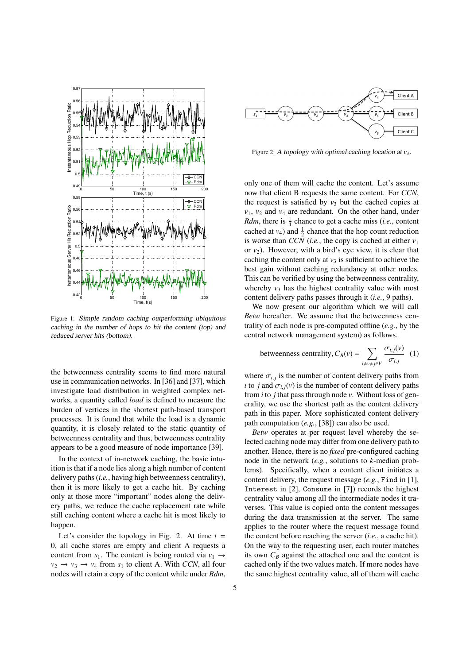

Figure 1: Simple random caching outperforming ubiquitous caching in the number of hops to hit the content (top) and reduced server hits (bottom).

the betweenness centrality seems to find more natural use in communication networks. In [36] and [37], which investigate load distribution in weighted complex networks, a quantity called *load* is defined to measure the burden of vertices in the shortest path-based transport processes. It is found that while the load is a dynamic quantity, it is closely related to the static quantity of betweenness centrality and thus, betweenness centrality appears to be a good measure of node importance [39].

In the context of in-network caching, the basic intuition is that if a node lies along a high number of content delivery paths (*i.e.*, having high betweenness centrality), then it is more likely to get a cache hit. By caching only at those more "important" nodes along the delivery paths, we reduce the cache replacement rate while still caching content where a cache hit is most likely to happen.

Let's consider the topology in Fig. 2. At time  $t =$ 0, all cache stores are empty and client A requests a content from  $s_1$ . The content is being routed via  $v_1 \rightarrow$  $v_2 \rightarrow v_3 \rightarrow v_4$  from  $s_1$  to client A. With *CCN*, all four nodes will retain a copy of the content while under *Rdm*,



Figure 2: A topology with optimal caching location at *v*3.

only one of them will cache the content. Let's assume now that client B requests the same content. For *CCN*, the request is satisfied by  $v_3$  but the cached copies at  $v_1$ ,  $v_2$  and  $v_4$  are redundant. On the other hand, under *Rdm*, there is  $\frac{1}{4}$  chance to get a cache miss (*i.e.*, content cached at  $v_4$ ) and  $\frac{1}{2}$  chance that the hop count reduction is worse than *CCN* (*i.e.*, the copy is cached at either  $v_1$ or  $v_2$ ). However, with a bird's eye view, it is clear that caching the content only at  $v_3$  is sufficient to achieve the best gain without caching redundancy at other nodes. This can be verified by using the betweenness centrality, whereby  $v_3$  has the highest centrality value with most content delivery paths passes through it (*i.e.*, 9 paths).

We now present our algorithm which we will call *Betw* hereafter. We assume that the betweenness centrality of each node is pre-computed offline (*e.g.*, by the central network management system) as follows.

betweenness centrality, 
$$
C_B(v) = \sum_{i \neq v \neq j \in V} \frac{\sigma_{i,j}(v)}{\sigma_{i,j}}
$$
 (1)

where  $\sigma_{i,j}$  is the number of content delivery paths from<br>*i* to *i* and  $\sigma_{i,j}$  (*v*) is the number of content delivery paths *i* to *j* and  $\sigma_{i,i}(v)$  is the number of content delivery paths from *i* to *j* that pass through node *v*. Without loss of generality, we use the shortest path as the content delivery path in this paper. More sophisticated content delivery path computation (*e.g.*, [38]) can also be used.

*Betw* operates at per request level whereby the selected caching node may differ from one delivery path to another. Hence, there is no *fixed* pre-configured caching node in the network (*e.g.*, solutions to *k*-median problems). Specifically, when a content client initiates a content delivery, the request message (*e.g.*, Find in [1], Interest in [2], Consume in [7]) records the highest centrality value among all the intermediate nodes it traverses. This value is copied onto the content messages during the data transmission at the server. The same applies to the router where the request message found the content before reaching the server (*i.e.*, a cache hit). On the way to the requesting user, each router matches its own  $C_B$  against the attached one and the content is cached only if the two values match. If more nodes have the same highest centrality value, all of them will cache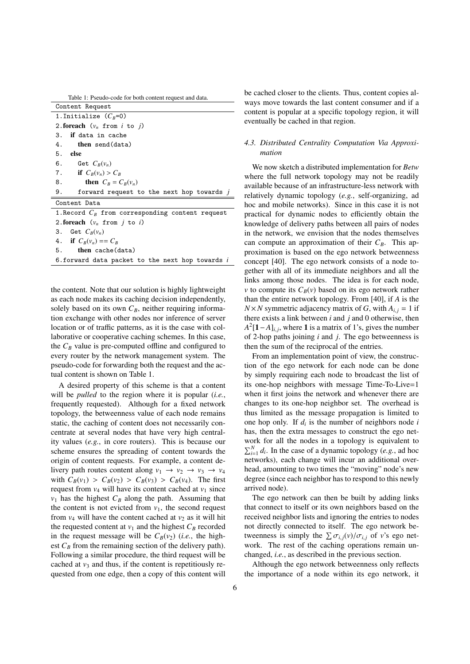Table 1: Pseudo-code for both content request and data.

| Content Request                                    |
|----------------------------------------------------|
| 1. Initialize $(C_R=0)$                            |
| 2. foreach $(v_n$ from i to j)                     |
| 3. if data in cache                                |
| 4. <b>then</b> send(data)                          |
| 5. else                                            |
| 6. Get $C_R(v_n)$                                  |
| 7. if $C_R(v_n) > C_R$                             |
| then $C_R = C_R(v_n)$                              |
| forward request to the next hop towards j<br>9.    |
| Content Data                                       |
| 1. Record $C_R$ from corresponding content request |
| 2. foreach $(v_n$ from j to i)                     |
| 3. Get $C_R(v_n)$                                  |
| 4. if $C_R(v_n) = C_R$                             |
| then cache (data)<br>5.                            |
| 6. forward data packet to the next hop towards i   |

the content. Note that our solution is highly lightweight as each node makes its caching decision independently, solely based on its own  $C_B$ , neither requiring information exchange with other nodes nor inference of server location or of traffic patterns, as it is the case with collaborative or cooperative caching schemes. In this case, the  $C_B$  value is pre-computed offline and configured to every router by the network management system. The pseudo-code for forwarding both the request and the actual content is shown on Table 1.

A desired property of this scheme is that a content will be *pulled* to the region where it is popular (*i.e.*, frequently requested). Although for a fixed network topology, the betweenness value of each node remains static, the caching of content does not necessarily concentrate at several nodes that have very high centrality values (*e.g.*, in core routers). This is because our scheme ensures the spreading of content towards the origin of content requests. For example, a content delivery path routes content along  $v_1 \rightarrow v_2 \rightarrow v_3 \rightarrow v_4$ with  $C_B(v_1) > C_B(v_2) > C_B(v_3) > C_B(v_4)$ . The first request from  $v_4$  will have its content cached at  $v_1$  since  $v_1$  has the highest  $C_B$  along the path. Assuming that the content is not evicted from  $v_1$ , the second request from  $v_4$  will have the content cached at  $v_2$  as it will hit the requested content at  $v_1$  and the highest  $C_B$  recorded in the request message will be  $C_B(v_2)$  (*i.e.*, the highest  $C_B$  from the remaining section of the delivery path). Following a similar procedure, the third request will be cached at  $v_3$  and thus, if the content is repetitiously requested from one edge, then a copy of this content will

be cached closer to the clients. Thus, content copies always move towards the last content consumer and if a content is popular at a specific topology region, it will eventually be cached in that region.

# *4.3. Distributed Centrality Computation Via Approximation*

We now sketch a distributed implementation for *Betw* where the full network topology may not be readily available because of an infrastructure-less network with relatively dynamic topology (*e.g.*, self-organizing, ad hoc and mobile networks). Since in this case it is not practical for dynamic nodes to efficiently obtain the knowledge of delivery paths between all pairs of nodes in the network, we envision that the nodes themselves can compute an approximation of their *CB*. This approximation is based on the ego network betweenness concept [40]. The ego network consists of a node together with all of its immediate neighbors and all the links among those nodes. The idea is for each node, *v* to compute its  $C_B(v)$  based on its ego network rather than the entire network topology. From [40], if *A* is the  $N \times N$  symmetric adjacency matrix of *G*, with  $A_{i,j} = 1$  if there exists a link between *i* and *j* and 0 otherwise, then  $A^2[1-A]_{i,j}$ , where 1 is a matrix of 1's, gives the number<br>of 2 here nother isining i and i. The see hetweenpess is of 2-hop paths joining *i* and *j*. The ego betweenness is then the sum of the reciprocal of the entries.

From an implementation point of view, the construction of the ego network for each node can be done by simply requiring each node to broadcast the list of its one-hop neighbors with message Time-To-Live=1 when it first joins the network and whenever there are changes to its one-hop neighbor set. The overhead is thus limited as the message propagation is limited to one hop only. If *d<sup>i</sup>* is the number of neighbors node *i* has, then the extra messages to construct the ego network for all the nodes in a topology is equivalent to  $\sum_{i=1}^{N} d_i$ . In the case of a dynamic topology (*e.g.*, ad hoc networks), each change will incur an additional overhead, amounting to two times the "moving" node's new degree (since each neighbor has to respond to this newly arrived node).

The ego network can then be built by adding links that connect to itself or its own neighbors based on the received neighbor lists and ignoring the entries to nodes not directly connected to itself. The ego network betweenness is simply the  $\sum \sigma_{i,j}(v)/\sigma_{i,j}$  of *v*'s ego net-<br>work. The rest of the caching operations remain unwork. The rest of the caching operations remain unchanged, *i.e.*, as described in the previous section.

Although the ego network betweenness only reflects the importance of a node within its ego network, it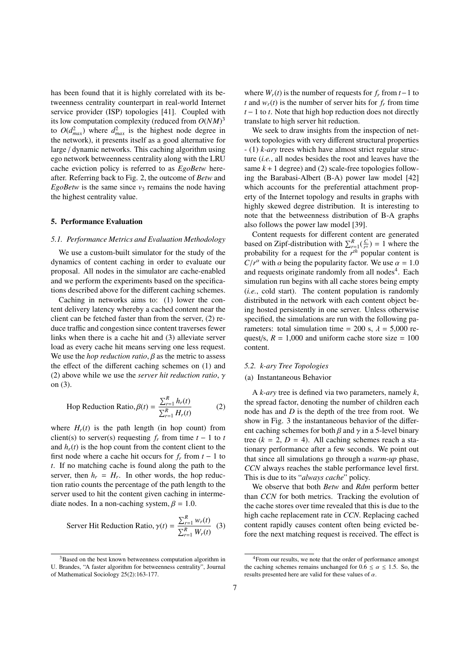has been found that it is highly correlated with its betweenness centrality counterpart in real-world Internet service provider (ISP) topologies [41]. Coupled with its low computation complexity (reduced from *O*(*NM*) 3 to  $O(d_{max}^2)$  where  $d_{max}^2$  is the highest node degree in the network), it presents itself as a good alternative for large / dynamic networks. This caching algorithm using ego network betweenness centrality along with the LRU cache eviction policy is referred to as *EgoBetw* hereafter. Referring back to Fig. 2, the outcome of *Betw* and *EgoBetw* is the same since  $v_3$  remains the node having the highest centrality value.

### 5. Performance Evaluation

# *5.1. Performance Metrics and Evaluation Methodology*

We use a custom-built simulator for the study of the dynamics of content caching in order to evaluate our proposal. All nodes in the simulator are cache-enabled and we perform the experiments based on the specifications described above for the different caching schemes.

Caching in networks aims to: (1) lower the content delivery latency whereby a cached content near the client can be fetched faster than from the server, (2) reduce traffic and congestion since content traverses fewer links when there is a cache hit and (3) alleviate server load as every cache hit means serving one less request. We use the *hop reduction ratio*,  $\beta$  as the metric to assess the effect of the different caching schemes on (1) and (2) above while we use the *server hit reduction ratio*, γ on (3).

$$
\text{Hop Reduction Ratio, } \beta(t) = \frac{\sum_{r=1}^{R} h_r(t)}{\sum_{r=1}^{R} H_r(t)} \tag{2}
$$

where  $H_r(t)$  is the path length (in hop count) from client(s) to server(s) requesting  $f_r$  from time  $t - 1$  to  $t$ and  $h_r(t)$  is the hop count from the content client to the first node where a cache hit occurs for  $f_r$  from  $t - 1$  to *t*. If no matching cache is found along the path to the server, then  $h_r = H_r$ . In other words, the hop reduction ratio counts the percentage of the path length to the server used to hit the content given caching in intermediate nodes. In a non-caching system,  $\beta = 1.0$ .

Server Hit Reduction Ratio, 
$$
\gamma(t) = \frac{\sum_{r=1}^{R} w_r(t)}{\sum_{r=1}^{R} W_r(t)}
$$
 (3)

where  $W_r(t)$  is the number of requests for  $f_r$  from  $t-1$  to *t* and  $w_r(t)$  is the number of server hits for  $f_r$  from time *t* − 1 to *t*. Note that high hop reduction does not directly translate to high server hit reduction.

We seek to draw insights from the inspection of network topologies with very different structural properties - (1) *k-ary* trees which have almost strict regular structure (*i.e.*, all nodes besides the root and leaves have the same  $k + 1$  degree) and (2) scale-free topologies following the Barabasi-Albert (B-A) power law model [42] which accounts for the preferential attachment property of the Internet topology and results in graphs with highly skewed degree distribution. It is interesting to note that the betweenness distribution of B-A graphs also follows the power law model [39].

Content requests for different content are generated based on Zipf-distribution with  $\sum_{r=1}^{R} \left( \frac{C}{r^{\alpha}} \right) = 1$  where the probability for a request for the  $r^{th}$  popular content is  $C/r^{\alpha}$  with  $\alpha$  being the popularity factor. We use  $\alpha = 1.0$ <br>and requests originate randomly from all podes<sup>4</sup>. Each and requests originate randomly from all nodes<sup>4</sup>. Each simulation run begins with all cache stores being empty (*i.e.*, cold start). The content population is randomly distributed in the network with each content object being hosted persistently in one server. Unless otherwise specified, the simulations are run with the following parameters: total simulation time = 200 s,  $\lambda$  = 5,000 request/s,  $R = 1,000$  and uniform cache store size = 100 content.

# *5.2. k-ary Tree Topologies*

# (a) Instantaneous Behavior

A *k-ary* tree is defined via two parameters, namely *k*, the spread factor, denoting the number of children each node has and *D* is the depth of the tree from root. We show in Fig. 3 the instantaneous behavior of the different caching schemes for both  $\beta$  and  $\gamma$  in a 5-level binary tree  $(k = 2, D = 4)$ . All caching schemes reach a stationary performance after a few seconds. We point out that since all simulations go through a *warm-up* phase, *CCN* always reaches the stable performance level first. This is due to its "*always cache*" policy.

We observe that both *Betw* and *Rdm* perform better than *CCN* for both metrics. Tracking the evolution of the cache stores over time revealed that this is due to the high cache replacement rate in *CCN*. Replacing cached content rapidly causes content often being evicted before the next matching request is received. The effect is

<sup>&</sup>lt;sup>3</sup>Based on the best known betweenness computation algorithm in U. Brandes, "A faster algorithm for betweenness centrality", Journal of Mathematical Sociology 25(2):163-177.

<sup>&</sup>lt;sup>4</sup>From our results, we note that the order of performance amongst the caching schemes remains unchanged for  $0.6 \le \alpha \le 1.5$ . So, the results presented here are valid for these values of  $\alpha$ .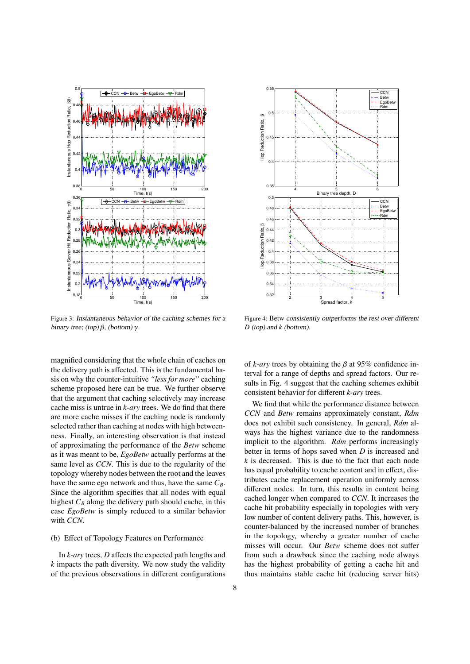

Figure 3: Instantaneous behavior of the caching schemes for a binary tree; (top)  $\beta$ , (bottom)  $\gamma$ .

magnified considering that the whole chain of caches on the delivery path is affected. This is the fundamental basis on why the counter-intuitive *"less for more"* caching scheme proposed here can be true. We further observe that the argument that caching selectively may increase cache miss is untrue in *k-ary* trees. We do find that there are more cache misses if the caching node is randomly selected rather than caching at nodes with high betweenness. Finally, an interesting observation is that instead of approximating the performance of the *Betw* scheme as it was meant to be, *EgoBetw* actually performs at the same level as *CCN*. This is due to the regularity of the topology whereby nodes between the root and the leaves have the same ego network and thus, have the same *CB*. Since the algorithm specifies that all nodes with equal highest  $C_B$  along the delivery path should cache, in this case *EgoBetw* is simply reduced to a similar behavior with *CCN*.

# (b) Effect of Topology Features on Performance

In *k-ary* trees, *D* affects the expected path lengths and *k* impacts the path diversity. We now study the validity of the previous observations in different configurations



Figure 4: Betw consistently outperforms the rest over different *D* (top) and *k* (bottom).

of  $k$ -ary trees by obtaining the  $\beta$  at 95% confidence interval for a range of depths and spread factors. Our results in Fig. 4 suggest that the caching schemes exhibit consistent behavior for different *k-ary* trees.

We find that while the performance distance between *CCN* and *Betw* remains approximately constant, *Rdm* does not exhibit such consistency. In general, *Rdm* always has the highest variance due to the randomness implicit to the algorithm. *Rdm* performs increasingly better in terms of hops saved when *D* is increased and *k* is decreased. This is due to the fact that each node has equal probability to cache content and in effect, distributes cache replacement operation uniformly across different nodes. In turn, this results in content being cached longer when compared to *CCN*. It increases the cache hit probability especially in topologies with very low number of content delivery paths. This, however, is counter-balanced by the increased number of branches in the topology, whereby a greater number of cache misses will occur. Our *Betw* scheme does not suffer from such a drawback since the caching node always has the highest probability of getting a cache hit and thus maintains stable cache hit (reducing server hits)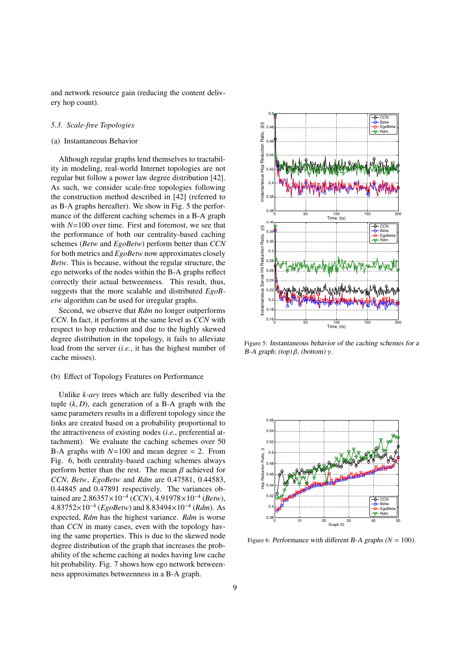and network resource gain (reducing the content delivery hop count).

# *5.3. Scale-free Topologies*

# (a) Instantaneous Behavior

Although regular graphs lend themselves to tractability in modeling, real-world Internet topologies are not regular but follow a power law degree distribution [42]. As such, we consider scale-free topologies following the construction method described in [42] (referred to as B-A graphs hereafter). We show in Fig. 5 the performance of the different caching schemes in a B-A graph with  $N=100$  over time. First and foremost, we see that the performance of both our centrality-based caching schemes (*Betw* and *EgoBetw*) perform better than *CCN* for both metrics and *EgoBetw* now approximates closely *Betw*. This is because, without the regular structure, the ego networks of the nodes within the B-A graphs reflect correctly their actual betweenness. This result, thus, suggests that the more scalable and distributed *EgoBetw* algorithm can be used for irregular graphs.

Second, we observe that *Rdm* no longer outperforms *CCN*. In fact, it performs at the same level as *CCN* with respect to hop reduction and due to the highly skewed degree distribution in the topology, it fails to alleviate load from the server (*i.e.*, it has the highest number of cache misses).

### (b) Effect of Topology Features on Performance

Unlike *k-ary* trees which are fully described via the tuple  $(k, D)$ , each generation of a B-A graph with the same parameters results in a different topology since the links are created based on a probability proportional to the attractiveness of existing nodes (*i.e.*, preferential attachment). We evaluate the caching schemes over 50 B-A graphs with  $N=100$  and mean degree  $= 2$ . From Fig. 6, both centrality-based caching schemes always perform better than the rest. The mean  $\beta$  achieved for *CCN*, *Betw*, *EgoBetw* and *Rdm* are 0.47581, 0.44583, 0.44845 and 0.47891 respectively. The variances obtained are 2.86357×10<sup>-4</sup> (*CCN*), 4.91978×10<sup>-4</sup> (*Betw*),<br>4.83752×10<sup>-4</sup> (*FgoBetw*) and 8.83494×10<sup>-4</sup> (*Rdm*), As <sup>4</sup>.83752×10<sup>−</sup><sup>4</sup> (*EgoBetw*) and 8.83494×10<sup>−</sup><sup>4</sup> (*Rdm*). As expected, *Rdm* has the highest variance. *Rdm* is worse than *CCN* in many cases, even with the topology having the same properties. This is due to the skewed node degree distribution of the graph that increases the probability of the scheme caching at nodes having low cache hit probability. Fig. 7 shows how ego network betweenness approximates betweenness in a B-A graph.



Figure 5: Instantaneous behavior of the caching schemes for a B-A graph; (top)  $\beta$ , (bottom)  $\gamma$ .



Figure 6: Performance with different B-A graphs  $(N = 100)$ .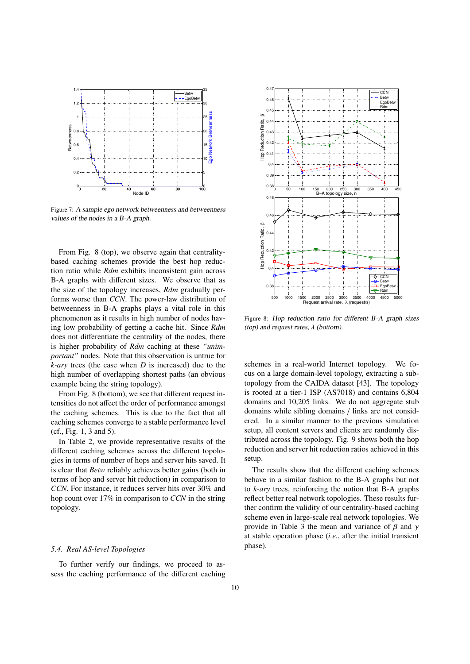

Figure 7: A sample ego network betweenness and betweenness values of the nodes in a B-A graph.

From Fig. 8 (top), we observe again that centralitybased caching schemes provide the best hop reduction ratio while *Rdm* exhibits inconsistent gain across B-A graphs with different sizes. We observe that as the size of the topology increases, *Rdm* gradually performs worse than *CCN*. The power-law distribution of betweenness in B-A graphs plays a vital role in this phenomenon as it results in high number of nodes having low probability of getting a cache hit. Since *Rdm* does not differentiate the centrality of the nodes, there is higher probability of *Rdm* caching at these *"unimportant"* nodes. Note that this observation is untrue for *k-ary* trees (the case when *D* is increased) due to the high number of overlapping shortest paths (an obvious example being the string topology).

From Fig. 8 (bottom), we see that different request intensities do not affect the order of performance amongst the caching schemes. This is due to the fact that all caching schemes converge to a stable performance level (cf., Fig. 1, 3 and 5).

In Table 2, we provide representative results of the different caching schemes across the different topologies in terms of number of hops and server hits saved. It is clear that *Betw* reliably achieves better gains (both in terms of hop and server hit reduction) in comparison to *CCN*. For instance, it reduces server hits over 30% and hop count over 17% in comparison to *CCN* in the string topology.

### *5.4. Real AS-level Topologies*

To further verify our findings, we proceed to assess the caching performance of the different caching



Figure 8: Hop reduction ratio for different B-A graph sizes (top) and request rates,  $\lambda$  (bottom).

schemes in a real-world Internet topology. We focus on a large domain-level topology, extracting a subtopology from the CAIDA dataset [43]. The topology is rooted at a tier-1 ISP (AS7018) and contains 6,804 domains and 10,205 links. We do not aggregate stub domains while sibling domains / links are not considered. In a similar manner to the previous simulation setup, all content servers and clients are randomly distributed across the topology. Fig. 9 shows both the hop reduction and server hit reduction ratios achieved in this setup.

The results show that the different caching schemes behave in a similar fashion to the B-A graphs but not to *k-ary* trees, reinforcing the notion that B-A graphs reflect better real network topologies. These results further confirm the validity of our centrality-based caching scheme even in large-scale real network topologies. We provide in Table 3 the mean and variance of  $\beta$  and  $\gamma$ at stable operation phase (*i.e.*, after the initial transient phase).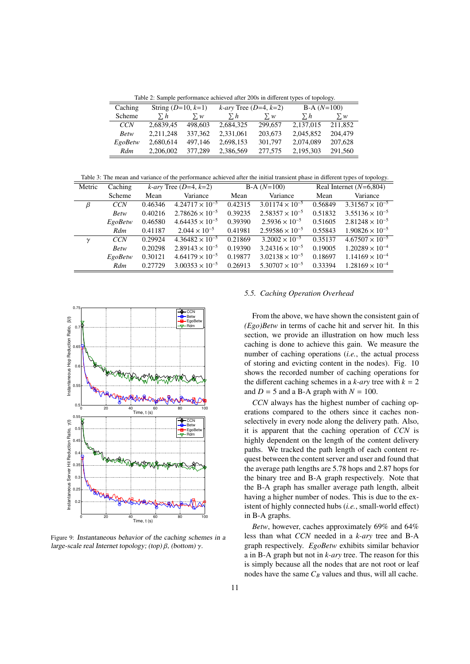Table 2: Sample performance achieved after 200s in different types of topology.

| Caching       | String $(D=10, k=1)$ |            | $k$ -ary Tree (D=4, $k=2$ ) |            | $B-A (N=100)$ |            |
|---------------|----------------------|------------|-----------------------------|------------|---------------|------------|
| <b>Scheme</b> | $\Sigma h$           | $\Sigma w$ | $\Sigma h$                  | $\Sigma w$ | $\Sigma h$    | $\Sigma w$ |
| <b>CCN</b>    | 2.6839.45            | 498,603    | 2,684,325                   | 299,657    | 2,137,015     | 211,852    |
| <b>Betw</b>   | 2,211,248            | 337.362    | 2,331,061                   | 203,673    | 2.045.852     | 204,479    |
| EgoBetw       | 2.680.614            | 497.146    | 2,698,153                   | 301,797    | 2.074.089     | 207,628    |
| Rdm           | 2,206,002            | 377.289    | 2,386,569                   | 277,575    | 2.195.303     | 291,560    |

Table 3: The mean and variance of the performance achieved after the initial transient phase in different types of topology.

| Metric   | Caching     | $k$ -ary Tree (D=4, $k=2$ ) |                          | $B-A (N=100)$ |                          | Real Internet $(N=6,804)$ |                          |
|----------|-------------|-----------------------------|--------------------------|---------------|--------------------------|---------------------------|--------------------------|
|          | Scheme      | Mean                        | Variance                 | Mean          | Variance                 | Mean                      | Variance                 |
| β        | <b>CCN</b>  | 0.46346                     | $4.24717 \times 10^{-5}$ | 0.42315       | $3.01174 \times 10^{-5}$ | 0.56849                   | $3.31567 \times 10^{-5}$ |
|          | <b>Betw</b> | 0.40216                     | $2.78626 \times 10^{-5}$ | 0.39235       | $2.58357 \times 10^{-5}$ | 0.51832                   | $3.55136 \times 10^{-5}$ |
|          | EgoBetw     | 0.46580                     | $4.64435 \times 10^{-5}$ | 0.39390       | $2.5936 \times 10^{-5}$  | 0.51605                   | $2.81248 \times 10^{-5}$ |
|          | Rdm         | 0.41187                     | $2.044 \times 10^{-5}$   | 0.41981       | $2.59586 \times 10^{-5}$ | 0.55843                   | $1.90826 \times 10^{-5}$ |
| $\gamma$ | <b>CCN</b>  | 0.29924                     | $4.36482 \times 10^{-5}$ | 0.21869       | $3.2002 \times 10^{-5}$  | 0.35137                   | $4.67507 \times 10^{-5}$ |
|          | <b>Betw</b> | 0.20298                     | $2.89143 \times 10^{-5}$ | 0.19390       | $3.24316 \times 10^{-5}$ | 0.19005                   | $1.20289 \times 10^{-4}$ |
|          | EgoBetw     | 0.30121                     | $4.64179 \times 10^{-5}$ | 0.19877       | $3.02138 \times 10^{-5}$ | 0.18697                   | $1.14169 \times 10^{-4}$ |
|          | Rdm         | 0.27729                     | $3.00353 \times 10^{-5}$ | 0.26913       | $5.30707 \times 10^{-5}$ | 0.33394                   | $1.28169 \times 10^{-4}$ |
|          |             |                             |                          |               |                          |                           |                          |



Figure 9: Instantaneous behavior of the caching schemes in a large-scale real Internet topology; (top)  $\beta$ , (bottom)  $\gamma$ .

# *5.5. Caching Operation Overhead*

From the above, we have shown the consistent gain of *(Ego)Betw* in terms of cache hit and server hit. In this section, we provide an illustration on how much less caching is done to achieve this gain. We measure the number of caching operations (*i.e.*, the actual process of storing and evicting content in the nodes). Fig. 10 shows the recorded number of caching operations for the different caching schemes in a  $k$ -ary tree with  $k = 2$ and  $D = 5$  and a B-A graph with  $N = 100$ .

*CCN* always has the highest number of caching operations compared to the others since it caches nonselectively in every node along the delivery path. Also, it is apparent that the caching operation of *CCN* is highly dependent on the length of the content delivery paths. We tracked the path length of each content request between the content server and user and found that the average path lengths are 5.78 hops and 2.87 hops for the binary tree and B-A graph respectively. Note that the B-A graph has smaller average path length, albeit having a higher number of nodes. This is due to the existent of highly connected hubs (*i.e.*, small-world effect) in B-A graphs.

*Betw*, however, caches approximately 69% and 64% less than what *CCN* needed in a *k-ary* tree and B-A graph respectively. *EgoBetw* exhibits similar behavior a in B-A graph but not in *k-ary* tree. The reason for this is simply because all the nodes that are not root or leaf nodes have the same  $C_B$  values and thus, will all cache.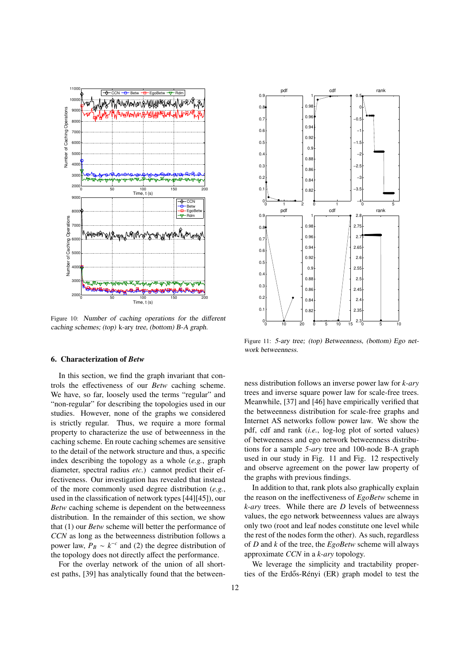

Figure 10: Number of caching operations for the different caching schemes; (top) k-ary tree, (bottom) B-A graph.

# 6. Characterization of *Betw*

In this section, we find the graph invariant that controls the effectiveness of our *Betw* caching scheme. We have, so far, loosely used the terms "regular" and "non-regular" for describing the topologies used in our studies. However, none of the graphs we considered is strictly regular. Thus, we require a more formal property to characterize the use of betweenness in the caching scheme. En route caching schemes are sensitive to the detail of the network structure and thus, a specific index describing the topology as a whole (*e.g.*, graph diameter, spectral radius *etc.*) cannot predict their effectiveness. Our investigation has revealed that instead of the more commonly used degree distribution (*e.g.*, used in the classification of network types [44][45]), our *Betw* caching scheme is dependent on the betweenness distribution. In the remainder of this section, we show that (1) our *Betw* scheme will better the performance of *CCN* as long as the betweenness distribution follows a power law,  $P_B \sim k^{-c}$  and (2) the degree distribution of the topology does not directly affect the performance.

For the overlay network of the union of all shortest paths, [39] has analytically found that the between-



Figure 11: 5-ary tree; (top) Betweenness, (bottom) Ego network betweenness.

ness distribution follows an inverse power law for *k-ary* trees and inverse square power law for scale-free trees. Meanwhile, [37] and [46] have empirically verified that the betweenness distribution for scale-free graphs and Internet AS networks follow power law. We show the pdf, cdf and rank (*i.e.*, log-log plot of sorted values) of betweenness and ego network betweenness distributions for a sample *5-ary* tree and 100-node B-A graph used in our study in Fig. 11 and Fig. 12 respectively and observe agreement on the power law property of the graphs with previous findings.

In addition to that, rank plots also graphically explain the reason on the ineffectiveness of *EgoBetw* scheme in *k-ary* trees. While there are *D* levels of betweenness values, the ego network betweenness values are always only two (root and leaf nodes constitute one level while the rest of the nodes form the other). As such, regardless of *D* and *k* of the tree, the *EgoBetw* scheme will always approximate *CCN* in a *k-ary* topology.

We leverage the simplicity and tractability properties of the Erdős-Rényi (ER) graph model to test the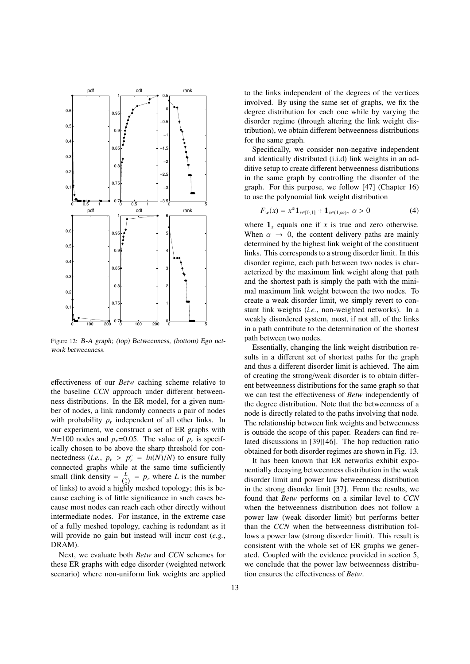

Figure 12: B-A graph; (top) Betweenness, (bottom) Ego network betweenness.

effectiveness of our *Betw* caching scheme relative to the baseline *CCN* approach under different betweenness distributions. In the ER model, for a given number of nodes, a link randomly connects a pair of nodes with probability  $p_r$  independent of all other links. In our experiment, we construct a set of ER graphs with  $N=100$  nodes and  $p_r=0.05$ . The value of  $p_r$  is specifically chosen to be above the sharp threshold for connectedness (*i.e.*,  $p_r > p_r^c = ln(N)/N$ ) to ensure fully connected graphs while at the same time sufficiently connected graphs while at the same time sufficiently small (link density  $= \frac{L}{\binom{N}{2}} = p_r$  where *L* is the number of links) to avoid a highly meshed topology; this is because caching is of little significance in such cases because most nodes can reach each other directly without intermediate nodes. For instance, in the extreme case of a fully meshed topology, caching is redundant as it will provide no gain but instead will incur cost (*e.g.*, DRAM).

Next, we evaluate both *Betw* and *CCN* schemes for these ER graphs with edge disorder (weighted network scenario) where non-uniform link weights are applied to the links independent of the degrees of the vertices involved. By using the same set of graphs, we fix the degree distribution for each one while by varying the disorder regime (through altering the link weight distribution), we obtain different betweenness distributions for the same graph.

Specifically, we consider non-negative independent and identically distributed (i.i.d) link weights in an additive setup to create different betweenness distributions in the same graph by controlling the disorder of the graph. For this purpose, we follow [47] (Chapter 16) to use the polynomial link weight distribution

$$
F_w(x) = x^{\alpha} \mathbf{1}_{x \in [0,1]} + \mathbf{1}_{x \in (1,\infty)}, \ \alpha > 0 \tag{4}
$$

where  $\mathbf{1}_x$  equals one if x is true and zero otherwise. When  $\alpha \rightarrow 0$ , the content delivery paths are mainly determined by the highest link weight of the constituent links. This corresponds to a strong disorder limit. In this disorder regime, each path between two nodes is characterized by the maximum link weight along that path and the shortest path is simply the path with the minimal maximum link weight between the two nodes. To create a weak disorder limit, we simply revert to constant link weights (*i.e.*, non-weighted networks). In a weakly disordered system, most, if not all, of the links in a path contribute to the determination of the shortest path between two nodes.

Essentially, changing the link weight distribution results in a different set of shortest paths for the graph and thus a different disorder limit is achieved. The aim of creating the strong/weak disorder is to obtain different betweenness distributions for the same graph so that we can test the effectiveness of *Betw* independently of the degree distribution. Note that the betweenness of a node is directly related to the paths involving that node. The relationship between link weights and betweenness is outside the scope of this paper. Readers can find related discussions in [39][46]. The hop reduction ratio obtained for both disorder regimes are shown in Fig. 13.

It has been known that ER networks exhibit exponentially decaying betweenness distribution in the weak disorder limit and power law betweenness distribution in the strong disorder limit [37]. From the results, we found that *Betw* performs on a similar level to *CCN* when the betweenness distribution does not follow a power law (weak disorder limit) but performs better than the *CCN* when the betweenness distribution follows a power law (strong disorder limit). This result is consistent with the whole set of ER graphs we generated. Coupled with the evidence provided in section 5, we conclude that the power law betweenness distribution ensures the effectiveness of *Betw*.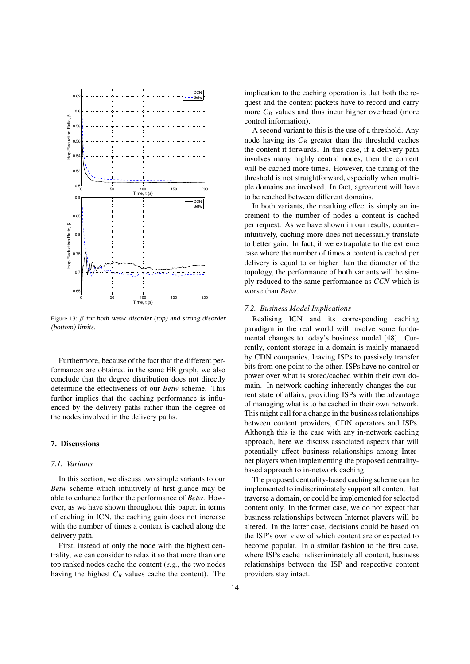

Figure 13:  $\beta$  for both weak disorder (top) and strong disorder (bottom) limits.

Furthermore, because of the fact that the different performances are obtained in the same ER graph, we also conclude that the degree distribution does not directly determine the effectiveness of our *Betw* scheme. This further implies that the caching performance is influenced by the delivery paths rather than the degree of the nodes involved in the delivery paths.

# 7. Discussions

### *7.1. Variants*

In this section, we discuss two simple variants to our *Betw* scheme which intuitively at first glance may be able to enhance further the performance of *Betw*. However, as we have shown throughout this paper, in terms of caching in ICN, the caching gain does not increase with the number of times a content is cached along the delivery path.

First, instead of only the node with the highest centrality, we can consider to relax it so that more than one top ranked nodes cache the content (*e.g.*, the two nodes having the highest  $C_B$  values cache the content). The implication to the caching operation is that both the request and the content packets have to record and carry more  $C_B$  values and thus incur higher overhead (more control information).

A second variant to this is the use of a threshold. Any node having its  $C_B$  greater than the threshold caches the content it forwards. In this case, if a delivery path involves many highly central nodes, then the content will be cached more times. However, the tuning of the threshold is not straightforward, especially when multiple domains are involved. In fact, agreement will have to be reached between different domains.

In both variants, the resulting effect is simply an increment to the number of nodes a content is cached per request. As we have shown in our results, counterintuitively, caching more does not necessarily translate to better gain. In fact, if we extrapolate to the extreme case where the number of times a content is cached per delivery is equal to or higher than the diameter of the topology, the performance of both variants will be simply reduced to the same performance as *CCN* which is worse than *Betw*.

### *7.2. Business Model Implications*

Realising ICN and its corresponding caching paradigm in the real world will involve some fundamental changes to today's business model [48]. Currently, content storage in a domain is mainly managed by CDN companies, leaving ISPs to passively transfer bits from one point to the other. ISPs have no control or power over what is stored/cached within their own domain. In-network caching inherently changes the current state of affairs, providing ISPs with the advantage of managing what is to be cached in their own network. This might call for a change in the business relationships between content providers, CDN operators and ISPs. Although this is the case with any in-network caching approach, here we discuss associated aspects that will potentially affect business relationships among Internet players when implementing the proposed centralitybased approach to in-network caching.

The proposed centrality-based caching scheme can be implemented to indiscriminately support all content that traverse a domain, or could be implemented for selected content only. In the former case, we do not expect that business relationships between Internet players will be altered. In the latter case, decisions could be based on the ISP's own view of which content are or expected to become popular. In a similar fashion to the first case, where ISPs cache indiscriminately all content, business relationships between the ISP and respective content providers stay intact.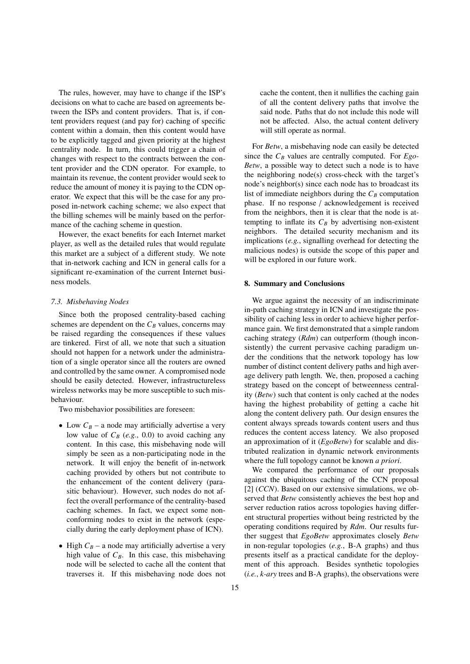The rules, however, may have to change if the ISP's decisions on what to cache are based on agreements between the ISPs and content providers. That is, if content providers request (and pay for) caching of specific content within a domain, then this content would have to be explicitly tagged and given priority at the highest centrality node. In turn, this could trigger a chain of changes with respect to the contracts between the content provider and the CDN operator. For example, to maintain its revenue, the content provider would seek to reduce the amount of money it is paying to the CDN operator. We expect that this will be the case for any proposed in-network caching scheme; we also expect that the billing schemes will be mainly based on the performance of the caching scheme in question.

However, the exact benefits for each Internet market player, as well as the detailed rules that would regulate this market are a subject of a different study. We note that in-network caching and ICN in general calls for a significant re-examination of the current Internet business models.

### *7.3. Misbehaving Nodes*

Since both the proposed centrality-based caching schemes are dependent on the  $C_B$  values, concerns may be raised regarding the consequences if these values are tinkered. First of all, we note that such a situation should not happen for a network under the administration of a single operator since all the routers are owned and controlled by the same owner. A compromised node should be easily detected. However, infrastructureless wireless networks may be more susceptible to such misbehaviour.

Two misbehavior possibilities are foreseen:

- Low  $C_B$  a node may artificially advertise a very low value of  $C_B$  (*e.g.*, 0.0) to avoid caching any content. In this case, this misbehaving node will simply be seen as a non-participating node in the network. It will enjoy the benefit of in-network caching provided by others but not contribute to the enhancement of the content delivery (parasitic behaviour). However, such nodes do not affect the overall performance of the centrality-based caching schemes. In fact, we expect some nonconforming nodes to exist in the network (especially during the early deployment phase of ICN).
- High  $C_B$  a node may artificially advertise a very high value of  $C_B$ . In this case, this misbehaving node will be selected to cache all the content that traverses it. If this misbehaving node does not

cache the content, then it nullifies the caching gain of all the content delivery paths that involve the said node. Paths that do not include this node will not be affected. Also, the actual content delivery will still operate as normal.

For *Betw*, a misbehaving node can easily be detected since the *C<sup>B</sup>* values are centrally computed. For *Ego-Betw*, a possible way to detect such a node is to have the neighboring node(s) cross-check with the target's node's neighbor(s) since each node has to broadcast its list of immediate neighbors during the  $C_B$  computation phase. If no response / acknowledgement is received from the neighbors, then it is clear that the node is attempting to inflate its  $C_B$  by advertising non-existent neighbors. The detailed security mechanism and its implications (*e.g.*, signalling overhead for detecting the malicious nodes) is outside the scope of this paper and will be explored in our future work.

### 8. Summary and Conclusions

We argue against the necessity of an indiscriminate in-path caching strategy in ICN and investigate the possibility of caching less in order to achieve higher performance gain. We first demonstrated that a simple random caching strategy (*Rdm*) can outperform (though inconsistently) the current pervasive caching paradigm under the conditions that the network topology has low number of distinct content delivery paths and high average delivery path length. We, then, proposed a caching strategy based on the concept of betweenness centrality (*Betw*) such that content is only cached at the nodes having the highest probability of getting a cache hit along the content delivery path. Our design ensures the content always spreads towards content users and thus reduces the content access latency. We also proposed an approximation of it (*EgoBetw*) for scalable and distributed realization in dynamic network environments where the full topology cannot be known *a priori*.

We compared the performance of our proposals against the ubiquitous caching of the CCN proposal [2] (*CCN*). Based on our extensive simulations, we observed that *Betw* consistently achieves the best hop and server reduction ratios across topologies having different structural properties without being restricted by the operating conditions required by *Rdm*. Our results further suggest that *EgoBetw* approximates closely *Betw* in non-regular topologies (*e.g.*, B-A graphs) and thus presents itself as a practical candidate for the deployment of this approach. Besides synthetic topologies (*i.e.*, *k-ary* trees and B-A graphs), the observations were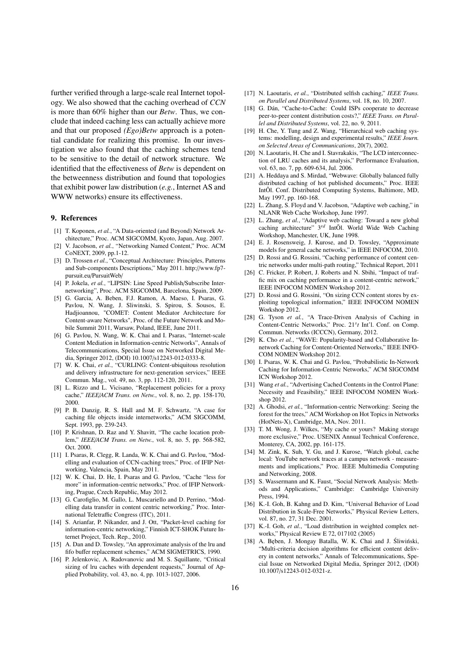further verified through a large-scale real Internet topology. We also showed that the caching overhead of *CCN* is more than 60% higher than our *Betw*. Thus, we conclude that indeed caching less can actually achieve more and that our proposed *(Ego)Betw* approach is a potential candidate for realizing this promise. In our investigation we also found that the caching schemes tend to be sensitive to the detail of network structure. We identified that the effectiveness of *Betw* is dependent on the betweenness distribution and found that topologies that exhibit power law distribution (*e.g.*, Internet AS and WWW networks) ensure its effectiveness.

### 9. References

- [1] T. Koponen, *et al.*, "A Data-oriented (and Beyond) Network Architecture," Proc. ACM SIGCOMM, Kyoto, Japan, Aug. 2007.
- [2] V. Jacobson, *et al.*, "Networking Named Content," Proc. ACM CoNEXT, 2009, pp.1-12.
- [3] D. Trossen *et al.*, "Conceptual Architecture: Principles, Patterns and Sub-components Descriptions," May 2011. http://www.fp7 pursuit.eu/PursuitWeb/
- [4] P. Jokela, *et al.*, "LIPSIN: Line Speed Publish/Subscribe Internetworking", Proc. ACM SIGCOMM, Barcelona, Spain, 2009.
- [5] G. Garcia, A. Beben, F.J. Ramon, A. Maeso, I. Psaras, G. Pavlou, N. Wang, J. Sliwinski, S. Spirou, S. Sousos, E. Hadjioannou, "COMET: Content Mediator Architecture for Content-aware Networks", Proc. of the Future Network and Mobile Summit 2011, Warsaw, Poland, IEEE, June 2011.
- [6] G. Pavlou, N. Wang, W. K. Chai and I. Psaras, "Internet-scale Content Mediation in Information-centric Networks", Annals of Telecommunications, Special Issue on Networked Digital Media, Springer 2012, (DOI) 10.1007/s12243-012-0333-8.
- [7] W. K. Chai, *et al.*, "CURLING: Content-ubiquitous resolution and delivery infrastructure for next-generation services," IEEE Commun. Mag., vol. 49, no. 3, pp. 112-120, 2011.
- [8] L. Rizzo and L. Vicisano, "Replacement policies for a proxy cache," *IEEE*/*ACM Trans. on Netw.*, vol. 8, no. 2, pp. 158-170, 2000.
- [9] P. B. Danzig, R. S. Hall and M. F. Schwartz, "A case for caching file objects inside internetworks," ACM SIGCOMM, Sept. 1993, pp. 239-243.
- [10] P. Krishnan, D. Raz and Y. Shavitt, "The cache location problem," *IEEE*/*ACM Trans. on Netw.*, vol. 8, no. 5, pp. 568-582, Oct. 2000.
- [11] I. Psaras, R. Clegg, R. Landa, W. K. Chai and G. Pavlou, "Modelling and evaluation of CCN-caching trees," Proc. of IFIP Networking, Valencia, Spain, May 2011.
- [12] W. K. Chai, D. He, I. Psaras and G. Pavlou, "Cache "less for more" in information-centric networks," Proc. of IFIP Networking, Prague, Czech Republic, May 2012.
- [13] G. Carofiglio, M. Gallo, L. Muscariello and D. Perrino, "Modelling data transfer in content centric networking," Proc. International Teletraffic Congress (ITC), 2011.
- [14] S. Arianfar, P. Nikander, and J. Ott, "Packet-level caching for information-centric networking," Finnish ICT-SHOK Future Internet Project, Tech. Rep., 2010.
- [15] A. Dan and D. Towsley, "An approximate analysis of the lru and fifo buffer replacement schemes," ACM SIGMETRICS, 1990.
- [16] P. Jelenkovic, A. Radovanovic and M. S. Squillante, "Critical sizing of lru caches with dependent requests," Journal of Applied Probability, vol. 43, no. 4, pp. 1013-1027, 2006.
- [17] N. Laoutaris, *et al.*, "Distributed selfish caching," *IEEE Trans. on Parallel and Distributed Systems*, vol. 18, no. 10, 2007.
- [18] G. Dán, "Cache-to-Cache: Could ISPs cooperate to decrease peer-to-peer content distribution costs?," *IEEE Trans. on Parallel and Distributed Systems*, vol. 22, no. 9, 2011.
- [19] H. Che, Y. Tung and Z. Wang, "Hierarchical web caching systems: modelling, design and experimental results," *IEEE Journ. on Selected Areas of Communications*, 20(7), 2002.
- [20] N. Laoutaris, H. Che and I. Stavrakakis, "The LCD interconnection of LRU caches and its analysis," Performance Evaluation, vol. 63, no. 7, pp. 609-634, Jul. 2006.
- [21] A. Heddaya and S. Mirdad, "Webwaye: Globally balanced fully distributed caching of hot published documents," Proc. IEEE IntÕl. Conf. Distributed Computing Systems, Baltimore, MD, May 1997, pp. 160-168.
- [22] L. Zhang, S. Floyd and V. Jacobson, "Adaptive web caching," in NLANR Web Cache Workshop, June 1997.
- [23] L. Zhang, *et al.*, "Adaptive web caching: Toward a new global caching architecture" 3*rd* IntÕl. World Wide Web Caching Workshop, Manchester, UK, June 1998.
- [24] E. J. Rosensweig, J. Kurose, and D. Towsley, "Approximate models for general cache networks," in IEEE INFOCOM, 2010.
- [25] D. Rossi and G. Rossini, "Caching performance of content centric networks under multi-path routing," Technical Report, 2011
- [26] C. Fricker, P. Robert, J. Roberts and N. Sbihi, "Impact of traffic mix on caching performance in a content-centric network," IEEE INFOCOM NOMEN Workshop 2012.
- [27] D. Rossi and G. Rossini, "On sizing CCN content stores by exploiting topological information," IEEE INFOCOM NOMEN Workshop 2012.
- [28] G. Tyson *et al.*, "A Trace-Driven Analysis of Caching in Content-Centric Networks," Proc. 21*<sup>s</sup> t* Int'l. Conf. on Comp. Commun. Networks (ICCCN), Germany, 2012.
- [29] K. Cho *et al.*, "WAVE: Popularity-based and Collaborative Innetwork Caching for Content-Oriented Networks," IEEE INFO-COM NOMEN Workshop 2012.
- [30] I. Psaras, W. K. Chai and G. Pavlou, "Probabilistic In-Network Caching for Information-Centric Networks," ACM SIGCOMM ICN Workshop 2012.
- [31] Wang *et al.*, "Advertising Cached Contents in the Control Plane: Necessity and Feasibility," IEEE INFOCOM NOMEN Workshop 2012.
- [32] A. Ghodsi, et al., "Information-centric Networking: Seeing the forest for the trees," ACM Workshop on Hot Topics in Networks (HotNets-X), Cambridge, MA, Nov. 2011.
- [33] T. M. Wong, J. Wilkes, "My cache or yours? Making storage more exclusive," Proc. USENIX Annual Technical Conference, Monterey, CA, 2002, pp. 161-175.
- [34] M. Zink, K. Suh, Y. Gu, and J. Kurose, "Watch global, cache local: YouTube network traces at a campus network - measurements and implications," Proc. IEEE Multimedia Computing and Networking, 2008.
- [35] S. Wassermann and K. Faust, "Social Network Analysis: Methods and Applications," Cambridge: Cambridge University Press, 1994.
- [36] K.-I. Goh, B. Kahng and D. Kim, "Universal Behavior of Load Distribution in Scale-Free Networks," Physical Review Letters, vol. 87, no. 27, 31 Dec. 2001.
- [37] K.-I. Goh, *et al.*, "Load distribution in weighted complex networks," Physical Review E 72, 017102 (2005)
- [38] A. Bęben, J. Mongay Batalla, W. K. Chai and J. Śliwiński, "Multi-criteria decision algorithms for efficient content delivery in content networks," Annals of Telecommunications, Special Issue on Networked Digital Media, Springer 2012, (DOI) 10.1007/s12243-012-0321-z.